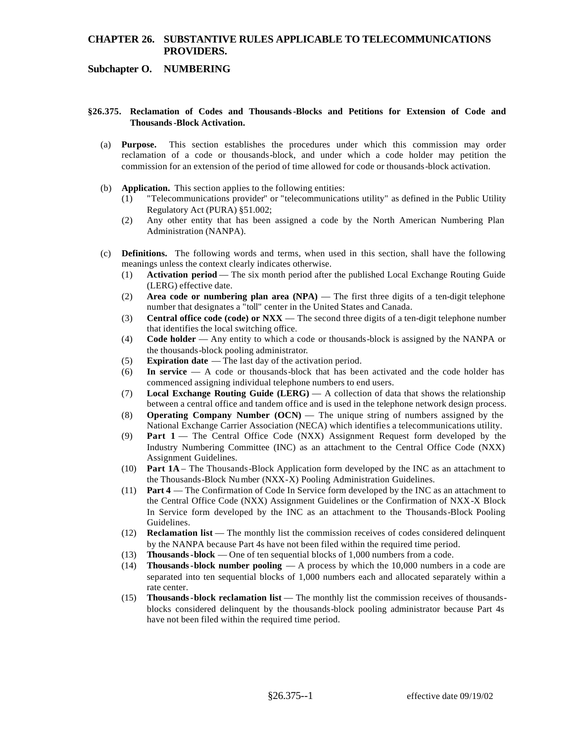# **CHAPTER 26. SUBSTANTIVE RULES APPLICABLE TO TELECOMMUNICATIONS PROVIDERS.**

## **Subchapter O. NUMBERING**

#### **§26.375. Reclamation of Codes and Thousands -Blocks and Petitions for Extension of Code and Thousands -Block Activation.**

- (a) **Purpose.** This section establishes the procedures under which this commission may order reclamation of a code or thousands-block, and under which a code holder may petition the commission for an extension of the period of time allowed for code or thousands-block activation.
- (b) **Application.** This section applies to the following entities:
	- (1) "Telecommunications provider" or "telecommunications utility" as defined in the Public Utility Regulatory Act (PURA) §51.002;
	- (2) Any other entity that has been assigned a code by the North American Numbering Plan Administration (NANPA).
- (c) **Definitions.** The following words and terms, when used in this section, shall have the following meanings unless the context clearly indicates otherwise.
	- (1) **Activation period**  The six month period after the published Local Exchange Routing Guide (LERG) effective date.
	- (2) **Area code or numbering plan area (NPA)**  The first three digits of a ten-digit telephone number that designates a "toll" center in the United States and Canada.
	- (3) **Central office code (code) or NXX**  The second three digits of a ten-digit telephone number that identifies the local switching office.
	- (4) **Code holder**  Any entity to which a code or thousands-block is assigned by the NANPA or the thousands-block pooling administrator.
	- (5) **Expiration date**  The last day of the activation period.
	- (6) **In service**  A code or thousands-block that has been activated and the code holder has commenced assigning individual telephone numbers to end users.
	- (7) **Local Exchange Routing Guide (LERG)**  A collection of data that shows the relationship between a central office and tandem office and is used in the telephone network design process.
	- (8) **Operating Company Number (OCN)**  The unique string of numbers assigned by the National Exchange Carrier Association (NECA) which identifies a telecommunications utility.
	- $(9)$ **Part 1** — The Central Office Code (NXX) Assignment Request form developed by the Industry Numbering Committee (INC) as an attachment to the Central Office Code (NXX) Assignment Guidelines.
	- (10) **Part 1A**  The Thousands-Block Application form developed by the INC as an attachment to the Thousands-Block Number (NXX-X) Pooling Administration Guidelines.
	- $(11)$ Part 4 — The Confirmation of Code In Service form developed by the INC as an attachment to the Central Office Code (NXX) Assignment Guidelines or the Confirmation of NXX-X Block In Service form developed by the INC as an attachment to the Thousands-Block Pooling Guidelines.
	- (12) **Reclamation list**  The monthly list the commission receives of codes considered delinquent by the NANPA because Part 4s have not been filed within the required time period.
	- (13) **Thousands -block**  One of ten sequential blocks of 1,000 numbers from a code.
	- (14) **Thousands-block number pooling**  A process by which the 10,000 numbers in a code are separated into ten sequential blocks of 1,000 numbers each and allocated separately within a rate center.
	- (15) **Thousands-block reclamation list**  The monthly list the commission receives of thousandsblocks considered delinquent by the thousands-block pooling administrator because Part 4s have not been filed within the required time period.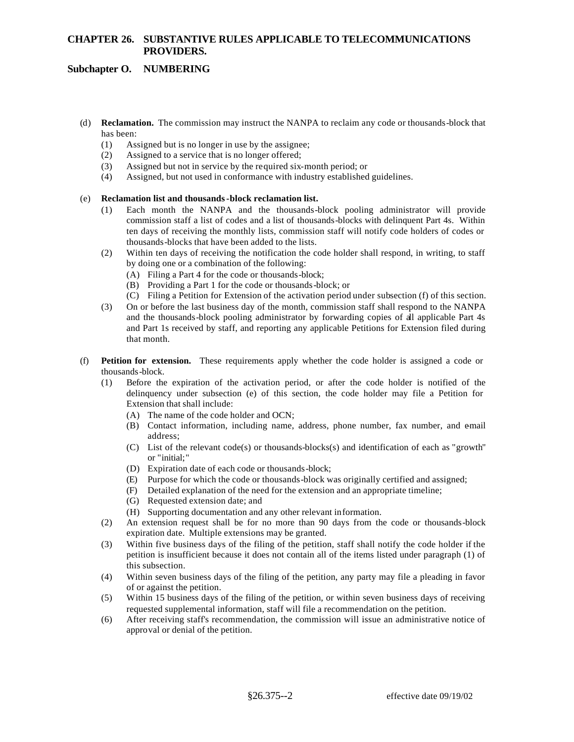# **CHAPTER 26. SUBSTANTIVE RULES APPLICABLE TO TELECOMMUNICATIONS PROVIDERS.**

## **Subchapter O. NUMBERING**

- (d) **Reclamation.** The commission may instruct the NANPA to reclaim any code or thousands-block that has been:
	- (1) Assigned but is no longer in use by the assignee;
	- (2) Assigned to a service that is no longer offered;
	- (3) Assigned but not in service by the required six-month period; or
	- (4) Assigned, but not used in conformance with industry established guidelines.

## (e) **Reclamation list and thousands-block reclamation list.**

- (1) Each month the NANPA and the thousands-block pooling administrator will provide commission staff a list of codes and a list of thousands-blocks with delinquent Part 4s. Within ten days of receiving the monthly lists, commission staff will notify code holders of codes or thousands-blocks that have been added to the lists.
- (2) Within ten days of receiving the notification the code holder shall respond, in writing, to staff by doing one or a combination of the following:
	- (A) Filing a Part 4 for the code or thousands-block;
	- (B) Providing a Part 1 for the code or thousands-block; or
	- (C) Filing a Petition for Extension of the activation period under subsection (f) of this section.
- (3) On or before the last business day of the month, commission staff shall respond to the NANPA and the thousands-block pooling administrator by forwarding copies of all applicable Part 4s and Part 1s received by staff, and reporting any applicable Petitions for Extension filed during that month.
- (f) **Petition for extension.** These requirements apply whether the code holder is assigned a code or thousands-block.
	- (1) Before the expiration of the activation period, or after the code holder is notified of the delinquency under subsection (e) of this section, the code holder may file a Petition for Extension that shall include:
		- (A) The name of the code holder and OCN;
		- (B) Contact information, including name, address, phone number, fax number, and e-mail address;
		- (C) List of the relevant code(s) or thousands-blocks(s) and identification of each as "growth" or "initial;"
		- (D) Expiration date of each code or thousands-block;
		- (E) Purpose for which the code or thousands-block was originally certified and assigned;
		- (F) Detailed explanation of the need for the extension and an appropriate timeline;
		- (G) Requested extension date; and
		- (H) Supporting documentation and any other relevant information.
	- (2) An extension request shall be for no more than 90 days from the code or thousands-block expiration date. Multiple extensions may be granted.
	- (3) Within five business days of the filing of the petition, staff shall notify the code holder if the petition is insufficient because it does not contain all of the items listed under paragraph (1) of this subsection.
	- (4) Within seven business days of the filing of the petition, any party may file a pleading in favor of or against the petition.
	- (5) Within 15 business days of the filing of the petition, or within seven business days of receiving requested supplemental information, staff will file a recommendation on the petition.
	- (6) After receiving staff's recommendation, the commission will issue an administrative notice of approval or denial of the petition.